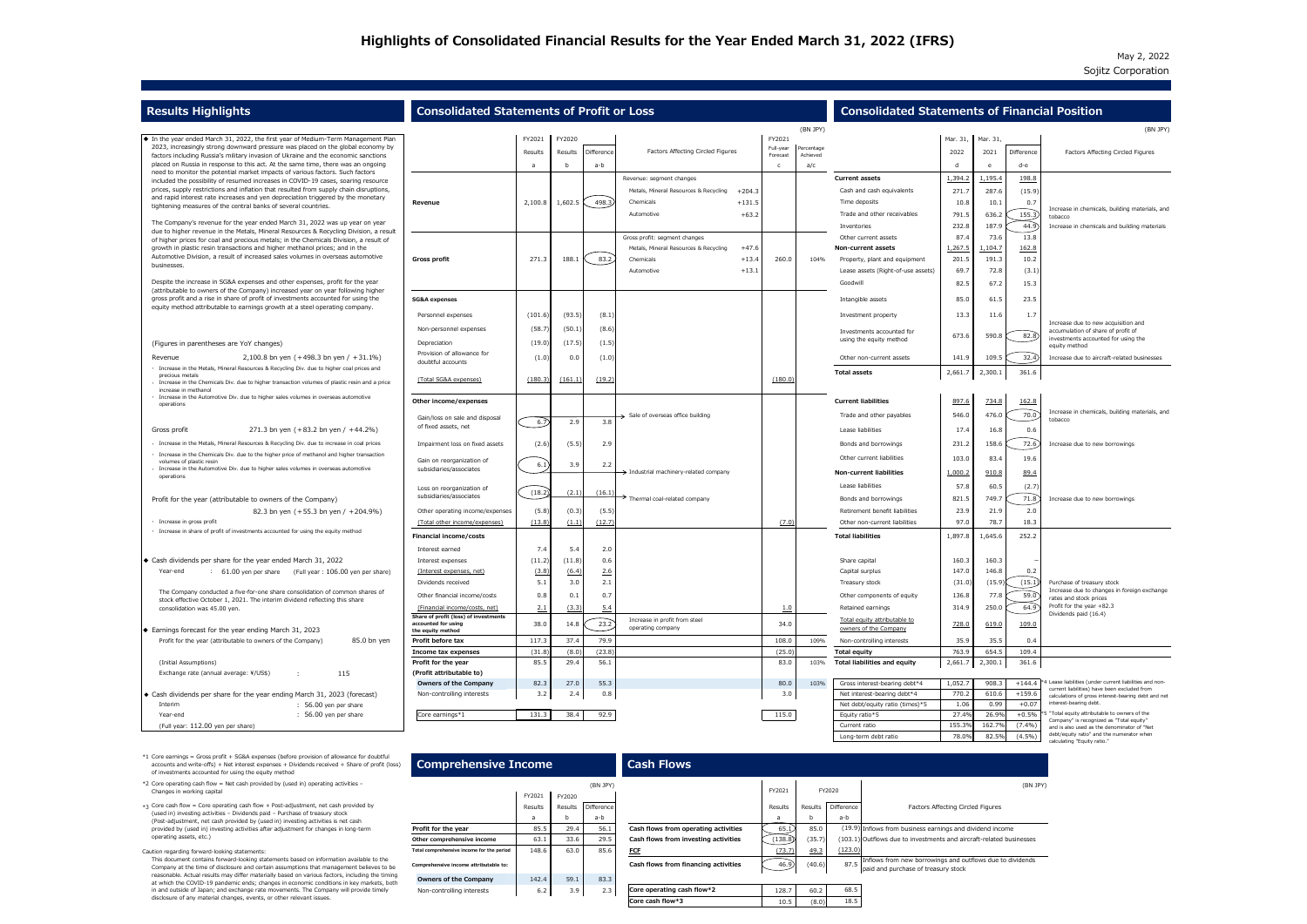## May 2, 2022 Sojitz Corporation

|                                 |                                                                                                                                                                                                                                                                 |                                                                                 | <b>Consolidated Statements of Financial Position</b>                |                                                                                                                                                                                                              |                                                                                                                                                                                                                                                      |                                                                             |                                                                                |                                                    |                                                                                                                                                                                                                                                                                                                                                                                                 |                                                                                                                             |                                                                                                                                                                                  |                                                                                                                            |
|---------------------------------|-----------------------------------------------------------------------------------------------------------------------------------------------------------------------------------------------------------------------------------------------------------------|---------------------------------------------------------------------------------|---------------------------------------------------------------------|--------------------------------------------------------------------------------------------------------------------------------------------------------------------------------------------------------------|------------------------------------------------------------------------------------------------------------------------------------------------------------------------------------------------------------------------------------------------------|-----------------------------------------------------------------------------|--------------------------------------------------------------------------------|----------------------------------------------------|-------------------------------------------------------------------------------------------------------------------------------------------------------------------------------------------------------------------------------------------------------------------------------------------------------------------------------------------------------------------------------------------------|-----------------------------------------------------------------------------------------------------------------------------|----------------------------------------------------------------------------------------------------------------------------------------------------------------------------------|----------------------------------------------------------------------------------------------------------------------------|
|                                 |                                                                                                                                                                                                                                                                 |                                                                                 |                                                                     |                                                                                                                                                                                                              |                                                                                                                                                                                                                                                      |                                                                             |                                                                                |                                                    |                                                                                                                                                                                                                                                                                                                                                                                                 |                                                                                                                             |                                                                                                                                                                                  | (BN)                                                                                                                       |
|                                 | FY2021                                                                                                                                                                                                                                                          | FY2020                                                                          |                                                                     |                                                                                                                                                                                                              |                                                                                                                                                                                                                                                      |                                                                             |                                                                                |                                                    |                                                                                                                                                                                                                                                                                                                                                                                                 |                                                                                                                             |                                                                                                                                                                                  |                                                                                                                            |
|                                 | Results                                                                                                                                                                                                                                                         | Results                                                                         |                                                                     |                                                                                                                                                                                                              |                                                                                                                                                                                                                                                      |                                                                             |                                                                                |                                                    | 2022                                                                                                                                                                                                                                                                                                                                                                                            | 2021                                                                                                                        | Difference                                                                                                                                                                       | <b>Factors Affecting Circled Figures</b>                                                                                   |
|                                 |                                                                                                                                                                                                                                                                 |                                                                                 |                                                                     |                                                                                                                                                                                                              |                                                                                                                                                                                                                                                      |                                                                             |                                                                                |                                                    |                                                                                                                                                                                                                                                                                                                                                                                                 |                                                                                                                             | d-e                                                                                                                                                                              |                                                                                                                            |
|                                 |                                                                                                                                                                                                                                                                 |                                                                                 |                                                                     |                                                                                                                                                                                                              |                                                                                                                                                                                                                                                      |                                                                             |                                                                                |                                                    |                                                                                                                                                                                                                                                                                                                                                                                                 |                                                                                                                             |                                                                                                                                                                                  |                                                                                                                            |
|                                 |                                                                                                                                                                                                                                                                 |                                                                                 |                                                                     |                                                                                                                                                                                                              |                                                                                                                                                                                                                                                      |                                                                             |                                                                                |                                                    |                                                                                                                                                                                                                                                                                                                                                                                                 |                                                                                                                             |                                                                                                                                                                                  |                                                                                                                            |
|                                 |                                                                                                                                                                                                                                                                 |                                                                                 |                                                                     |                                                                                                                                                                                                              |                                                                                                                                                                                                                                                      |                                                                             |                                                                                |                                                    |                                                                                                                                                                                                                                                                                                                                                                                                 |                                                                                                                             |                                                                                                                                                                                  |                                                                                                                            |
|                                 |                                                                                                                                                                                                                                                                 |                                                                                 |                                                                     |                                                                                                                                                                                                              |                                                                                                                                                                                                                                                      |                                                                             |                                                                                |                                                    |                                                                                                                                                                                                                                                                                                                                                                                                 |                                                                                                                             |                                                                                                                                                                                  | Increase in chemicals, building materials, a                                                                               |
|                                 |                                                                                                                                                                                                                                                                 |                                                                                 |                                                                     |                                                                                                                                                                                                              |                                                                                                                                                                                                                                                      |                                                                             |                                                                                |                                                    |                                                                                                                                                                                                                                                                                                                                                                                                 |                                                                                                                             |                                                                                                                                                                                  | tobacco<br>Increase in chemicals and building materia                                                                      |
|                                 |                                                                                                                                                                                                                                                                 |                                                                                 |                                                                     | Gross profit: segment changes                                                                                                                                                                                |                                                                                                                                                                                                                                                      |                                                                             |                                                                                | Other current assets                               | 87.4                                                                                                                                                                                                                                                                                                                                                                                            | 73.6                                                                                                                        | 13.8                                                                                                                                                                             |                                                                                                                            |
|                                 |                                                                                                                                                                                                                                                                 |                                                                                 |                                                                     | Metals, Mineral Resources & Recycling                                                                                                                                                                        | $+47.6$                                                                                                                                                                                                                                              |                                                                             |                                                                                | <b>Non-current assets</b>                          | 1,267.5                                                                                                                                                                                                                                                                                                                                                                                         | L <sub>,104.7</sub>                                                                                                         | 162.8                                                                                                                                                                            |                                                                                                                            |
| <b>Gross profit</b>             | 271.3                                                                                                                                                                                                                                                           | 188.1                                                                           | 83.2                                                                | Chemicals                                                                                                                                                                                                    | $+13.4$                                                                                                                                                                                                                                              | 260.0                                                                       | 104%                                                                           | Property, plant and equipment                      | 201.5                                                                                                                                                                                                                                                                                                                                                                                           | 191.3                                                                                                                       | 10.2                                                                                                                                                                             |                                                                                                                            |
|                                 |                                                                                                                                                                                                                                                                 |                                                                                 |                                                                     | Automotive                                                                                                                                                                                                   | $+13.1$                                                                                                                                                                                                                                              |                                                                             |                                                                                | Lease assets (Right-of-use assets)                 | 69.7                                                                                                                                                                                                                                                                                                                                                                                            | 72.8                                                                                                                        | (3.1)                                                                                                                                                                            |                                                                                                                            |
|                                 |                                                                                                                                                                                                                                                                 |                                                                                 |                                                                     |                                                                                                                                                                                                              |                                                                                                                                                                                                                                                      |                                                                             |                                                                                | Goodwill                                           | 82.5                                                                                                                                                                                                                                                                                                                                                                                            | 67.2                                                                                                                        | 15.3                                                                                                                                                                             |                                                                                                                            |
| <b>SG&amp;A expenses</b>        |                                                                                                                                                                                                                                                                 |                                                                                 |                                                                     |                                                                                                                                                                                                              |                                                                                                                                                                                                                                                      |                                                                             |                                                                                | Intangible assets                                  | 85.0                                                                                                                                                                                                                                                                                                                                                                                            | 61.5                                                                                                                        | 23.5                                                                                                                                                                             |                                                                                                                            |
| Personnel expenses              | (101.6)                                                                                                                                                                                                                                                         |                                                                                 | (8.1)                                                               |                                                                                                                                                                                                              |                                                                                                                                                                                                                                                      |                                                                             |                                                                                | Investment property                                | 13.3                                                                                                                                                                                                                                                                                                                                                                                            | 11.6                                                                                                                        | 1.7                                                                                                                                                                              |                                                                                                                            |
| Non-personnel expenses          | (58.7)                                                                                                                                                                                                                                                          | (50.1)                                                                          | (8.6)                                                               |                                                                                                                                                                                                              |                                                                                                                                                                                                                                                      |                                                                             |                                                                                |                                                    |                                                                                                                                                                                                                                                                                                                                                                                                 |                                                                                                                             |                                                                                                                                                                                  | Increase due to new acquisition and<br>accumulation of share of profit of                                                  |
|                                 |                                                                                                                                                                                                                                                                 |                                                                                 |                                                                     |                                                                                                                                                                                                              |                                                                                                                                                                                                                                                      |                                                                             |                                                                                | using the equity method                            |                                                                                                                                                                                                                                                                                                                                                                                                 |                                                                                                                             |                                                                                                                                                                                  | investments accounted for using the                                                                                        |
| Provision of allowance for      |                                                                                                                                                                                                                                                                 |                                                                                 |                                                                     |                                                                                                                                                                                                              |                                                                                                                                                                                                                                                      |                                                                             |                                                                                |                                                    |                                                                                                                                                                                                                                                                                                                                                                                                 |                                                                                                                             |                                                                                                                                                                                  | equity method                                                                                                              |
| doubtful accounts               |                                                                                                                                                                                                                                                                 |                                                                                 |                                                                     |                                                                                                                                                                                                              |                                                                                                                                                                                                                                                      |                                                                             |                                                                                |                                                    |                                                                                                                                                                                                                                                                                                                                                                                                 |                                                                                                                             |                                                                                                                                                                                  | Increase due to aircraft-related businesses                                                                                |
| (Total SG&A expenses)           |                                                                                                                                                                                                                                                                 |                                                                                 |                                                                     |                                                                                                                                                                                                              |                                                                                                                                                                                                                                                      |                                                                             |                                                                                |                                                    |                                                                                                                                                                                                                                                                                                                                                                                                 |                                                                                                                             |                                                                                                                                                                                  |                                                                                                                            |
|                                 |                                                                                                                                                                                                                                                                 |                                                                                 |                                                                     |                                                                                                                                                                                                              |                                                                                                                                                                                                                                                      |                                                                             |                                                                                |                                                    |                                                                                                                                                                                                                                                                                                                                                                                                 |                                                                                                                             |                                                                                                                                                                                  |                                                                                                                            |
| Other income/expenses           |                                                                                                                                                                                                                                                                 |                                                                                 |                                                                     |                                                                                                                                                                                                              |                                                                                                                                                                                                                                                      |                                                                             |                                                                                | <b>Current liabilities</b>                         | 897.6                                                                                                                                                                                                                                                                                                                                                                                           | 734.8                                                                                                                       | 162.8                                                                                                                                                                            |                                                                                                                            |
|                                 |                                                                                                                                                                                                                                                                 |                                                                                 |                                                                     | $\rightarrow$ Sale of overseas office building                                                                                                                                                               |                                                                                                                                                                                                                                                      |                                                                             |                                                                                | Trade and other payables                           | 546.0                                                                                                                                                                                                                                                                                                                                                                                           | 476.0                                                                                                                       | 70.0                                                                                                                                                                             | Increase in chemicals, building materials, a<br>tobacco                                                                    |
| of fixed assets, net            |                                                                                                                                                                                                                                                                 |                                                                                 |                                                                     |                                                                                                                                                                                                              |                                                                                                                                                                                                                                                      |                                                                             |                                                                                |                                                    |                                                                                                                                                                                                                                                                                                                                                                                                 |                                                                                                                             |                                                                                                                                                                                  |                                                                                                                            |
|                                 |                                                                                                                                                                                                                                                                 |                                                                                 |                                                                     |                                                                                                                                                                                                              |                                                                                                                                                                                                                                                      |                                                                             |                                                                                |                                                    |                                                                                                                                                                                                                                                                                                                                                                                                 |                                                                                                                             |                                                                                                                                                                                  | Increase due to new borrowings                                                                                             |
|                                 |                                                                                                                                                                                                                                                                 |                                                                                 |                                                                     |                                                                                                                                                                                                              |                                                                                                                                                                                                                                                      |                                                                             |                                                                                |                                                    |                                                                                                                                                                                                                                                                                                                                                                                                 |                                                                                                                             |                                                                                                                                                                                  |                                                                                                                            |
| Gain on reorganization of       | 6.1                                                                                                                                                                                                                                                             | 3.9                                                                             | 2.2                                                                 |                                                                                                                                                                                                              |                                                                                                                                                                                                                                                      |                                                                             |                                                                                |                                                    |                                                                                                                                                                                                                                                                                                                                                                                                 |                                                                                                                             |                                                                                                                                                                                  |                                                                                                                            |
|                                 |                                                                                                                                                                                                                                                                 |                                                                                 |                                                                     | $\rightarrow$ Industrial machinery-related company                                                                                                                                                           |                                                                                                                                                                                                                                                      |                                                                             |                                                                                | <b>Non-current liabilities</b>                     | 1,000.2                                                                                                                                                                                                                                                                                                                                                                                         | 910.8                                                                                                                       | 89.4                                                                                                                                                                             |                                                                                                                            |
| Loss on reorganization of       |                                                                                                                                                                                                                                                                 |                                                                                 |                                                                     |                                                                                                                                                                                                              |                                                                                                                                                                                                                                                      |                                                                             |                                                                                | Lease liabilities                                  | 57.8                                                                                                                                                                                                                                                                                                                                                                                            | 60.5                                                                                                                        | (2.7)                                                                                                                                                                            |                                                                                                                            |
| subsidiaries/associates         |                                                                                                                                                                                                                                                                 |                                                                                 |                                                                     |                                                                                                                                                                                                              |                                                                                                                                                                                                                                                      |                                                                             |                                                                                | Bonds and borrowings                               | 821.5                                                                                                                                                                                                                                                                                                                                                                                           | 749.7                                                                                                                       | 71.8                                                                                                                                                                             | Increase due to new borrowings                                                                                             |
| Other operating income/expenses | (5.8)                                                                                                                                                                                                                                                           |                                                                                 |                                                                     |                                                                                                                                                                                                              |                                                                                                                                                                                                                                                      |                                                                             |                                                                                | Retirement benefit liabilities                     | 23.9                                                                                                                                                                                                                                                                                                                                                                                            | 21.9                                                                                                                        | 2.0                                                                                                                                                                              |                                                                                                                            |
| (Total other income/expenses)   |                                                                                                                                                                                                                                                                 |                                                                                 |                                                                     |                                                                                                                                                                                                              |                                                                                                                                                                                                                                                      | (7.0)                                                                       |                                                                                | Other non-current liabilities                      | 97.0                                                                                                                                                                                                                                                                                                                                                                                            | 78.7                                                                                                                        | 18.3                                                                                                                                                                             |                                                                                                                            |
| <b>Financial income/costs</b>   |                                                                                                                                                                                                                                                                 |                                                                                 |                                                                     |                                                                                                                                                                                                              |                                                                                                                                                                                                                                                      |                                                                             |                                                                                | <b>Total liabilities</b>                           |                                                                                                                                                                                                                                                                                                                                                                                                 | 1,645.6                                                                                                                     | 252.2                                                                                                                                                                            |                                                                                                                            |
| Interest earned                 | 7.4                                                                                                                                                                                                                                                             | 5.4                                                                             | 2.0                                                                 |                                                                                                                                                                                                              |                                                                                                                                                                                                                                                      |                                                                             |                                                                                |                                                    |                                                                                                                                                                                                                                                                                                                                                                                                 |                                                                                                                             |                                                                                                                                                                                  |                                                                                                                            |
| Interest expenses               | (11.2)                                                                                                                                                                                                                                                          |                                                                                 | 0.6                                                                 |                                                                                                                                                                                                              |                                                                                                                                                                                                                                                      |                                                                             |                                                                                | Share capital                                      | 160.3                                                                                                                                                                                                                                                                                                                                                                                           | 160.3                                                                                                                       |                                                                                                                                                                                  |                                                                                                                            |
| (Interest expenses, net)        | (3.8)                                                                                                                                                                                                                                                           |                                                                                 | 2.6                                                                 |                                                                                                                                                                                                              |                                                                                                                                                                                                                                                      |                                                                             |                                                                                | Capital surplus                                    | 147.0                                                                                                                                                                                                                                                                                                                                                                                           | 146.8                                                                                                                       | 0.2                                                                                                                                                                              |                                                                                                                            |
| Dividends received              | 5.1                                                                                                                                                                                                                                                             | 3.0                                                                             | 2.1                                                                 |                                                                                                                                                                                                              |                                                                                                                                                                                                                                                      |                                                                             |                                                                                | Treasury stock                                     | (31.0)                                                                                                                                                                                                                                                                                                                                                                                          | (15.9)                                                                                                                      | (15.1)                                                                                                                                                                           | Purchase of treasury stock<br>Increase due to changes in foreign exchan                                                    |
| Other financial income/costs    | 0.8                                                                                                                                                                                                                                                             | 0.1                                                                             | 0.7                                                                 |                                                                                                                                                                                                              |                                                                                                                                                                                                                                                      |                                                                             |                                                                                | Other components of equity                         | 136.8                                                                                                                                                                                                                                                                                                                                                                                           | 77.8                                                                                                                        | 59.0                                                                                                                                                                             | rates and stock prices                                                                                                     |
| (Financial income/costs, net)   | 2.1                                                                                                                                                                                                                                                             |                                                                                 | 5.4                                                                 |                                                                                                                                                                                                              |                                                                                                                                                                                                                                                      | <u>1.0</u>                                                                  |                                                                                | Retained earnings                                  | 314.9                                                                                                                                                                                                                                                                                                                                                                                           | 250.0                                                                                                                       | 64.9                                                                                                                                                                             | Profit for the year $+82.3$<br>Dividends paid (16.4)                                                                       |
| accounted for using             | 38.0                                                                                                                                                                                                                                                            | 14.8                                                                            |                                                                     | Increase in profit from steel                                                                                                                                                                                |                                                                                                                                                                                                                                                      | 34.0                                                                        |                                                                                | Total equity attributable to                       |                                                                                                                                                                                                                                                                                                                                                                                                 |                                                                                                                             |                                                                                                                                                                                  |                                                                                                                            |
| the equity method               |                                                                                                                                                                                                                                                                 |                                                                                 |                                                                     |                                                                                                                                                                                                              |                                                                                                                                                                                                                                                      |                                                                             |                                                                                |                                                    |                                                                                                                                                                                                                                                                                                                                                                                                 |                                                                                                                             |                                                                                                                                                                                  |                                                                                                                            |
|                                 |                                                                                                                                                                                                                                                                 |                                                                                 |                                                                     |                                                                                                                                                                                                              |                                                                                                                                                                                                                                                      |                                                                             |                                                                                |                                                    |                                                                                                                                                                                                                                                                                                                                                                                                 |                                                                                                                             |                                                                                                                                                                                  |                                                                                                                            |
|                                 |                                                                                                                                                                                                                                                                 |                                                                                 |                                                                     |                                                                                                                                                                                                              |                                                                                                                                                                                                                                                      |                                                                             |                                                                                |                                                    |                                                                                                                                                                                                                                                                                                                                                                                                 |                                                                                                                             |                                                                                                                                                                                  |                                                                                                                            |
|                                 |                                                                                                                                                                                                                                                                 |                                                                                 |                                                                     |                                                                                                                                                                                                              |                                                                                                                                                                                                                                                      |                                                                             |                                                                                |                                                    |                                                                                                                                                                                                                                                                                                                                                                                                 |                                                                                                                             |                                                                                                                                                                                  |                                                                                                                            |
| <b>Owners of the Company</b>    | 82.3                                                                                                                                                                                                                                                            | 27.0                                                                            | 55.3                                                                |                                                                                                                                                                                                              |                                                                                                                                                                                                                                                      | 80.0                                                                        | 103%                                                                           | Gross interest-bearing debt*4                      | 1,052.7                                                                                                                                                                                                                                                                                                                                                                                         | 908.3                                                                                                                       | $+144.4$                                                                                                                                                                         | 144 Lease liabilities (under current liabilities and nor                                                                   |
| Non-controlling interests       | 3.2                                                                                                                                                                                                                                                             | 2.4                                                                             | 0.8                                                                 |                                                                                                                                                                                                              |                                                                                                                                                                                                                                                      | 3.0                                                                         |                                                                                | Net interest-bearing debt*4                        | 770.2                                                                                                                                                                                                                                                                                                                                                                                           | 610.6                                                                                                                       | $+159.6$                                                                                                                                                                         | current liabilities) have been excluded from<br>calculations of gross interest-bearing debt and                            |
|                                 |                                                                                                                                                                                                                                                                 |                                                                                 |                                                                     |                                                                                                                                                                                                              |                                                                                                                                                                                                                                                      |                                                                             |                                                                                | Net debt/equity ratio (times)*5                    | 1.06                                                                                                                                                                                                                                                                                                                                                                                            | 0.99                                                                                                                        | $+0.07$                                                                                                                                                                          | interest-bearing debt.                                                                                                     |
| Core earnings*1                 |                                                                                                                                                                                                                                                                 |                                                                                 |                                                                     |                                                                                                                                                                                                              |                                                                                                                                                                                                                                                      |                                                                             |                                                                                | Equity ratio*5                                     | 27.4%                                                                                                                                                                                                                                                                                                                                                                                           | 26.9%                                                                                                                       | $+0.5%$                                                                                                                                                                          | "Total equity attributable to owners of the<br>Company" is recognized as "Total equity"                                    |
|                                 | Revenue<br>Depreciation<br>Gain/loss on sale and disposal<br>Impairment loss on fixed assets<br>subsidiaries/associates<br>Share of profit (loss) of investments<br>Profit before tax<br>Income tax expenses<br>Profit for the year<br>(Profit attributable to) | 2,100.8<br>(19.0)<br>(1.0)<br>6.7<br>(2.6)<br>(13.8)<br>117.3<br>(31.8)<br>85.5 | 1,602.5<br>0.0<br>(180.3)<br>2.9<br>(18.2)<br>37.4<br>29.4<br>131.3 | Difference<br>a-b<br>498.3<br>(93.5)<br>(17.5)<br>(161.1)<br>3.8<br>(5.5)<br>2.9<br>(2.1)<br>(0.3)<br>(1.1)<br>(12.7)<br>(11.8)<br>(6.4)<br>(3.3)<br>23.2<br>79.9<br>(8.0)<br>(23.8)<br>56.1<br>92.9<br>38.4 | <b>Consolidated Statements of Profit or Loss</b><br>Revenue: segment changes<br>Metals, Mineral Resources & Recycling<br>Chemicals<br>Automotive<br>(1.5)<br>(1.0)<br>(19.2)<br>(16.1)<br>Thermal coal-related company<br>(5.5)<br>operating company | <b>Factors Affecting Circled Figures</b><br>$+204.3$<br>$+131.5$<br>$+63.2$ | FY2021<br>Full-year<br>Forecast<br>(180.0)<br>108.0<br>(25.0)<br>83.0<br>115.0 | (BN JPY)<br>Percentage<br>Achieved<br>109%<br>103% | <b>Current assets</b><br>Cash and cash equivalents<br>Time deposits<br>Trade and other receivables<br>Inventories<br>Investments accounted for<br>Other non-current assets<br><b>Total assets</b><br>Lease liabilities<br>Bonds and borrowings<br>Other current liabilities<br>owners of the Company<br>Non-controlling interests<br><b>Total equity</b><br><b>Total liabilities and equity</b> | 1,394.2<br>271.7<br>10.8<br>791.5<br>232.8<br>673.6<br>141.9<br>17.4<br>231.2<br>103.0<br>728.0<br>35.9<br>763.9<br>2,661.7 | Mar. 31, Mar. 31,<br>l, 195.4<br>287.6<br>10.1<br>636.2<br>187.9<br>590.<br>109.5<br>2,300.1<br>2,661.7<br>16.8<br>158.6<br>83.4<br>1,897.8<br>619.0<br>35.5<br>654.5<br>2,300.1 | 198.8<br>(15.9)<br>0.7<br>155.3)<br>44.9<br>82.8<br>32.4<br>361.6<br>0.6<br>72.6<br>19.6<br>109.0<br>0.4<br>109.4<br>361.6 |

| <b>Consolidated Statements of Financial Position</b>   |                |                |                   |                                                                                                     |  |
|--------------------------------------------------------|----------------|----------------|-------------------|-----------------------------------------------------------------------------------------------------|--|
|                                                        |                |                |                   | (BN JPY)                                                                                            |  |
|                                                        | Mar. 31,       | Mar. 31,       |                   |                                                                                                     |  |
|                                                        | 2022           | 2021           | <b>Difference</b> | <b>Factors Affecting Circled Figures</b>                                                            |  |
|                                                        | d              | e              | d-e               |                                                                                                     |  |
| <b>Current assets</b>                                  | 1,394.2        | 1,195.4        | 198.8             |                                                                                                     |  |
| Cash and cash equivalents                              | 271.7          | 287.6          | (15.9)            |                                                                                                     |  |
| Time deposits                                          | 10.8           | 10.1           | 0.7               | Increase in chemicals, building materials, and                                                      |  |
| Trade and other receivables                            | 791.5          | 636.2          | 155.3)            | tobacco                                                                                             |  |
| Inventories                                            | 232.8          | 187.9          | 44.9              | Increase in chemicals and building materials                                                        |  |
| Other current assets                                   | 87.4           | 73.6           | 13.8              |                                                                                                     |  |
| <b>Non-current assets</b>                              | 1,267.5        | 1,104.7        | 162.8             |                                                                                                     |  |
| Property, plant and equipment                          | 201.5          | 191.3          | 10.2              |                                                                                                     |  |
| Lease assets (Right-of-use assets)                     | 69.7           | 72.8           | (3.1)             |                                                                                                     |  |
| Goodwill                                               | 82.5           | 67.2           | 15.3              |                                                                                                     |  |
| Intangible assets                                      | 85.0           | 61.5           | 23.5              |                                                                                                     |  |
| Investment property                                    | 13.3           | 11.6           | 1.7               | Increase due to new acquisition and                                                                 |  |
| Investments accounted for<br>using the equity method   | 673.6          | 590.8          | 82.8)             | accumulation of share of profit of<br>investments accounted for using the<br>equity method          |  |
| Other non-current assets                               | 141.9          | 109.5          | 32.4)             | Increase due to aircraft-related businesses                                                         |  |
| <b>Total assets</b>                                    | 2,661.7        | 2,300.1        | 361.6             |                                                                                                     |  |
| <b>Current liabilities</b><br>Trade and other payables | 897.6<br>546.0 | 734.8<br>476.0 | 162.8<br>70.0     | Increase in chemicals, building materials, and<br>tobacco                                           |  |
| Lease liabilities                                      | 17.4           | 16.8           | 0.6               |                                                                                                     |  |
| Bonds and borrowings                                   | 231.2          | 158.6          | 72.6              | Increase due to new borrowings                                                                      |  |
| Other current liabilities                              | 103.0          | 83.4           | 19.6              |                                                                                                     |  |
| <b>Non-current liabilities</b>                         | 1,000.2        | 910.8          | 89.4              |                                                                                                     |  |
| Lease liabilities                                      | 57.8           | 60.5           | (2.7)             |                                                                                                     |  |
| Bonds and borrowings                                   | 821.5          | 749.7          | 71.8              | Increase due to new borrowings                                                                      |  |
| Retirement benefit liabilities                         | 23.9           | 21.9           | 2.0               |                                                                                                     |  |
| Other non-current liabilities                          | 97.0           | 78.7           | 18.3              |                                                                                                     |  |
| <b>Total liabilities</b>                               | 1,897.8        | 1,645.6        | 252.2             |                                                                                                     |  |
|                                                        |                |                |                   |                                                                                                     |  |
| Share capital                                          | 160.3          | 160.3          |                   |                                                                                                     |  |
| Capital surplus                                        | 147.0          | 146.8          | 0.2               |                                                                                                     |  |
| Treasury stock                                         | (31.0)         | (15.9)         | (15.1)            | Purchase of treasury stock<br>Increase due to changes in foreign exchange                           |  |
| Other components of equity                             | 136.8          | 77.8           | 59.0              | rates and stock prices                                                                              |  |
| Retained earnings                                      | 314.9          | 250.0          | 64.9              | Profit for the year $+82.3$<br>Dividends paid (16.4)                                                |  |
| Total equity attributable to<br>owners of the Company  | 728.0          | 619.0          | 109.0             |                                                                                                     |  |
| Non-controlling interests                              | 35.9           | 35.5           | 0.4               |                                                                                                     |  |
| <b>Total equity</b>                                    | 763.9          | 654.5          | 109.4             |                                                                                                     |  |
| <b>Total liabilities and equity</b>                    | 2,661.7        | 2,300.1        | 361.6             |                                                                                                     |  |
| Gross interest-bearing debt*4                          | 1,052.7        | 908.3          | $+144.4$          | *4 Lease liabilities (under current liabilities and non-                                            |  |
| Net interest-bearing debt*4                            | 770.2          | 610.6          | $+159.6$          | current liabilities) have been excluded from<br>calculations of gross interest-bearing debt and net |  |
| Net debt/equity ratio (times) $*5$                     | 1.06           | 0.99           | $+0.07$           | interest-bearing debt.                                                                              |  |

| <b>Results Highlights</b>                                                                                                                                                   | <b>Consolidated Statements of Profit or Loss</b>             |         |         |            |                                                                           |                       |                        | <b>Consolidated Statements of Financ</b>             |          |          |            |
|-----------------------------------------------------------------------------------------------------------------------------------------------------------------------------|--------------------------------------------------------------|---------|---------|------------|---------------------------------------------------------------------------|-----------------------|------------------------|------------------------------------------------------|----------|----------|------------|
|                                                                                                                                                                             |                                                              |         |         |            |                                                                           |                       | (BN JPY)               |                                                      |          |          |            |
| $\bullet$ In the year ended March 31, 2022, the first year of Medium-Term Management Plan                                                                                   |                                                              | FY2021  | FY2020  |            |                                                                           | FY2021                |                        |                                                      | Mar. 31, | Mar. 31, |            |
| 2023, increasingly strong downward pressure was placed on the global economy by                                                                                             |                                                              | Results | Results | Difference | <b>Factors Affecting Circled Figures</b>                                  | Full-year<br>Forecast | Percentage<br>Achieved |                                                      | 2022     | 2021     | Difference |
| factors including Russia's military invasion of Ukraine and the economic sanctions<br>placed on Russia in response to this act. At the same time, there was an ongoing      |                                                              | a       |         | a-b        |                                                                           |                       | a/c                    |                                                      |          |          | d-e        |
| need to monitor the potential market impacts of various factors. Such factors                                                                                               |                                                              |         |         |            | Revenue: segment changes                                                  |                       |                        | <b>Current assets</b>                                | 1,394.2  | 1,195.4  | 198.8      |
| included the possibility of resumed increases in COVID-19 cases, soaring resource<br>prices, supply restrictions and inflation that resulted from supply chain disruptions, |                                                              |         |         |            |                                                                           |                       |                        |                                                      |          |          |            |
| and rapid interest rate increases and yen depreciation triggered by the monetary                                                                                            |                                                              |         |         |            | Metals, Mineral Resources & Recycling<br>$+204.3$                         |                       |                        | Cash and cash equivalents                            | 271.7    | 287.6    | (15.9)     |
| tightening measures of the central banks of several countries.                                                                                                              | Revenue                                                      | 2,100.8 | 1,602.5 | 498.3      | Chemicals<br>$+131.5$                                                     |                       |                        | Time deposits                                        | 10.8     | 10.1     | 0.7        |
| The Company's revenue for the year ended March 31, 2022 was up year on year                                                                                                 |                                                              |         |         |            | $+63.2$<br>Automotive                                                     |                       |                        | Trade and other receivables                          | 791.5    | 636.2    | 155.3      |
| due to higher revenue in the Metals, Mineral Resources & Recycling Division, a result                                                                                       |                                                              |         |         |            |                                                                           |                       |                        | Inventories                                          | 232.8    | 187.9    | (44.9)     |
| of higher prices for coal and precious metals; in the Chemicals Division, a result of                                                                                       |                                                              |         |         |            | Gross profit: segment changes                                             |                       |                        | Other current assets                                 | 87.4     | 73.6     | 13.8       |
| growth in plastic resin transactions and higher methanol prices; and in the<br>Automotive Division, a result of increased sales volumes in overseas automotive              |                                                              |         |         |            | Metals, Mineral Resources & Recycling<br>$+47.6$                          |                       |                        | <b>Non-current assets</b>                            | 1,267.5  | ,104.7   | 162.8      |
| businesses.                                                                                                                                                                 | <b>Gross profit</b>                                          | 271.3   | 188.    | 83.2       | Chemicals<br>$+13.4$                                                      | 260.0                 | 104%                   | Property, plant and equipment                        | 201.5    | 191.3    | 10.2       |
|                                                                                                                                                                             |                                                              |         |         |            | $+13.1$<br>Automotive                                                     |                       |                        | Lease assets (Right-of-use assets)                   | 69.7     | 72.8     | (3.1)      |
| Despite the increase in SG&A expenses and other expenses, profit for the year<br>(attributable to owners of the Company) increased year on year following higher            |                                                              |         |         |            |                                                                           |                       |                        | Goodwill                                             | 82.5     | 67.2     | 15.3       |
| gross profit and a rise in share of profit of investments accounted for using the<br>equity method attributable to earnings growth at a steel operating company.            | <b>SG&amp;A expenses</b>                                     |         |         |            |                                                                           |                       |                        | Intangible assets                                    | 85.0     | 61.5     | 23.5       |
|                                                                                                                                                                             | Personnel expenses                                           | (101.6) | (93.5)  | (8.1)      |                                                                           |                       |                        | Investment property                                  | 13.3     | 11.6     | 1.7        |
|                                                                                                                                                                             | Non-personnel expenses                                       | (58.7)  | (50.1)  | (8.6)      |                                                                           |                       |                        |                                                      |          |          |            |
|                                                                                                                                                                             |                                                              |         |         |            |                                                                           |                       |                        | Investments accounted for<br>using the equity method | 673.6    | 590.8    | 82.8       |
| (Figures in parentheses are YoY changes)                                                                                                                                    | Depreciation                                                 | (19.0)  | (17.5)  | (1.5)      |                                                                           |                       |                        |                                                      |          |          |            |
| 2,100.8 bn yen $(+498.3$ bn yen $/ + 31.1\%)$<br>Revenue                                                                                                                    | Provision of allowance for<br>doubtful accounts              | (1.0)   | 0.0     | (1.0)      |                                                                           |                       |                        | Other non-current assets                             | 141.9    | 109.5    | 32.4)      |
| Increase in the Metals, Mineral Resources & Recycling Div. due to higher coal prices and                                                                                    |                                                              |         |         |            |                                                                           |                       |                        | <b>Total assets</b>                                  | 2,661.7  | 2,300.1  | 361.6      |
| precious metals<br>Increase in the Chemicals Div. due to higher transaction volumes of plastic resin and a price<br>increase in methanol                                    | (Total SG&A expenses)                                        | (180.3) | (161.1) | (19.2)     |                                                                           | (180.0)               |                        |                                                      |          |          |            |
| Increase in the Automotive Div. due to higher sales volumes in overseas automotive<br>operations                                                                            | Other income/expenses                                        |         |         |            |                                                                           |                       |                        | <b>Current liabilities</b>                           | 897.6    | 734.8    | 162.8      |
|                                                                                                                                                                             | Gain/loss on sale and disposal                               |         |         |            | $\rightarrow$ Sale of overseas office building                            |                       |                        | Trade and other payables                             | 546.0    | 476.0    | 70.0       |
| 271.3 bn yen $(+83.2$ bn yen $/ +44.2\%)$<br>Gross profit                                                                                                                   | of fixed assets, net                                         | 6.7     | 2.9     | 3.8        |                                                                           |                       |                        | Lease liabilities                                    | 17.4     | 16.8     | 0.6        |
| · Increase in the Metals, Mineral Resources & Recycling Div. due to increase in coal prices                                                                                 | Impairment loss on fixed assets                              | (2.6)   | (5.5)   | 2.9        |                                                                           |                       |                        | Bonds and borrowings                                 | 231.2    | 158.6    | 72.6       |
| Increase in the Chemicals Div. due to the higher price of methanol and higher transaction                                                                                   |                                                              |         |         |            |                                                                           |                       |                        |                                                      |          |          |            |
| volumes of plastic resin                                                                                                                                                    | Gain on reorganization of                                    | 6.1     | 3.9     | 2.2        |                                                                           |                       |                        | Other current liabilities                            | 103.0    | 83.4     | 19.6       |
| Increase in the Automotive Div. due to higher sales volumes in overseas automotive<br>operations                                                                            | subsidiaries/associates                                      |         |         |            | $\rightarrow$ Industrial machinery-related company                        |                       |                        | <b>Non-current liabilities</b>                       | 1,000.2  | 910.8    | 89.4       |
|                                                                                                                                                                             | Loss on reorganization of                                    |         |         |            |                                                                           |                       |                        | Lease liabilities                                    | 57.8     | 60.5     | (2.7)      |
| Profit for the year (attributable to owners of the Company)                                                                                                                 | subsidiaries/associates                                      | (18.2)  | (2.1)   |            | $\left \frac{(16.1)}{\sqrt{10^{11}}}\right $ Thermal coal-related company |                       |                        | Bonds and borrowings                                 | 821.5    | 749.7    | 71.8       |
| 82.3 bn yen $(+55.3$ bn yen $/ + 204.9\%)$                                                                                                                                  | Other operating income/expenses                              | (5.8)   | (0.3)   | (5.5)      |                                                                           |                       |                        | Retirement benefit liabilities                       | 23.9     | 21.9     | 2.0        |
| · Increase in gross profit                                                                                                                                                  | (Total other income/expenses)                                | (13.8)  | (1.1)   | (12.7)     |                                                                           | (7.0)                 |                        | Other non-current liabilities                        | 97.0     | 78.7     | 18.3       |
| · Increase in share of profit of investments accounted for using the equity method                                                                                          |                                                              |         |         |            |                                                                           |                       |                        |                                                      |          |          |            |
|                                                                                                                                                                             | <b>Financial income/costs</b>                                |         |         |            |                                                                           |                       |                        | <b>Total liabilities</b>                             | 1,897.8  | 1,645.6  | 252.2      |
|                                                                                                                                                                             | Interest earned                                              | 7.4     | 5.4     | 2.0        |                                                                           |                       |                        |                                                      |          |          |            |
| $\blacktriangleright$ Cash dividends per share for the year ended March 31, 2022                                                                                            | Interest expenses                                            | (11.2)  | (11.8)  | 0.6        |                                                                           |                       |                        | Share capital                                        | 160.3    | 160.3    |            |
| 61.00 yen per share (Full year: 106.00 yen per share)<br>Year-end                                                                                                           | (Interest expenses, net)                                     | (3.8)   | (6.4)   | 2.6        |                                                                           |                       |                        | Capital surplus                                      | 147.0    | 146.8    | 0.2        |
|                                                                                                                                                                             | Dividends received                                           | 5.1     | 3.0     | 2.1        |                                                                           |                       |                        | Treasury stock                                       | (31.0)   | (15.9)   | (15.1)     |
| The Company conducted a five-for-one share consolidation of common shares of<br>stock effective October 1, 2021. The interim dividend reflecting this share                 | Other financial income/costs                                 | 0.8     | 0.1     | 0.7        |                                                                           |                       |                        | Other components of equity                           | 136.8    | 77.8     | 59.0       |
| consolidation was 45.00 yen.                                                                                                                                                | (Financial income/costs, net)                                | 2.1     | (3.3)   | <u>5.4</u> |                                                                           | <u>1.0</u>            |                        | Retained earnings                                    | 314.9    | 250.0    | 64.9       |
|                                                                                                                                                                             | Share of profit (loss) of investments<br>accounted for using | 38.0    | 14.8    | 23.2       | Increase in profit from steel                                             | 34.0                  |                        | Total equity attributable to                         | 728.0    | 619.0    | 109.0      |
| $\blacktriangleright$ Earnings forecast for the year ending March 31, 2023                                                                                                  | the equity method                                            |         |         |            | operating company                                                         |                       |                        | owners of the Company                                |          |          |            |
| Profit for the year (attributable to owners of the Company)<br>85.0 bn yen                                                                                                  | <b>Profit before tax</b>                                     | 117.3   | 37.4    | 79.9       |                                                                           | 108.0                 | 109%                   | Non-controlling interests                            | 35.9     | 35.5     | 0.4        |
|                                                                                                                                                                             | Income tax expenses                                          | (31.8)  | (8.0)   | (23.8)     |                                                                           | (25.0)                |                        | <b>Total equity</b>                                  | 763.9    | 654.5    | 109.4      |
| (Initial Assumptions)                                                                                                                                                       | <b>Profit for the year</b>                                   | 85.5    | 29.4    | 56.1       |                                                                           | 83.0                  | 103%                   | <b>Total liabilities and equity</b>                  | 2,661.7  | 2,300.1  | 361.6      |
| 115<br>Exchange rate (annual average: ¥/US\$)                                                                                                                               | (Profit attributable to)                                     |         |         |            |                                                                           |                       |                        |                                                      |          |          |            |
|                                                                                                                                                                             | <b>Owners of the Company</b>                                 | 82.3    | 27.0    | 55.3       |                                                                           | 80.0                  | 103%                   | Gross interest-bearing debt*4                        | 1,052.7  | 908.3    | $+144.4$   |
| $\blacktriangleright$ Cash dividends per share for the year ending March 31, 2023 (forecast)                                                                                | Non-controlling interests                                    | 3.2     | 2.4     | 0.8        |                                                                           | 3.0                   |                        | Net interest-bearing debt*4                          | 770.2    | 610.6    | $+159.6$   |
| Interim<br>$\therefore$ 56.00 yen per share                                                                                                                                 |                                                              |         |         |            |                                                                           |                       |                        | Net debt/equity ratio (times)*5                      | 1.06     | 0.99     | $+0.07$    |
| $: 56.00$ yen per share<br>Year-end                                                                                                                                         | Core earnings*1                                              | 131.3   | 38.4    | 92.9       |                                                                           | 115.0                 |                        | Equity ratio*5                                       | 27.4%    | 26.9%    | $+0.5%$    |
| (Full year: 112.00 yen per share)                                                                                                                                           |                                                              |         |         |            |                                                                           |                       |                        | Current ratio                                        | 155.3%   | 162.7%   | $(7.4\%)$  |

\*5 "Total equity attributable to owners of the Company" is recognized as "Total equity" and is also used as the denominator of "Net debt/equity ratio" and the numerator when calculating "Equity ratio."

|                |         | (BN JPY)   |
|----------------|---------|------------|
| FY2021         | FY2020  |            |
| <b>Results</b> | Results | Difference |
| a              | b       | a-b        |
| 85.5           | 29.4    | 56.1       |
| 63.1           | 33.6    | 29.5       |
| 148.6          | 63.0    | 85.6       |
|                |         |            |
| 142.4          | 59.1    | 83.3       |
| 6.2            | 3.9     | 2.3        |
|                |         |            |

- \*1 Core earnings = Gross profit + SG&A expenses (before provision of allowance for doubtful accounts and write-offs) + Net interest expenses + Dividends received + Share of profit (loss) of investments accounted for using the equity method
- Changes in working capital FY2020 FY2020
- \*3 Core cash flow = Core operating cash flow + Post-adjustment, net cash provided by  $\blacksquare$  Results Results Results Results Results Results Results Results Results Results Results Results Results Results Results Results Re (used in) investing activities – Dividends paid – Purchase of treasury stock (Post-adjustment, net cash provided by (used in) investing activities is net cash provided by (used in) investing activities after adjustment for changes in long-term operating assets, etc.)

| of investments accounted for using the equity method                                                                                                                                                                                                                                                                                                                                                                                                                        |                                           |                  |         |                   |                                      |         |         |            |                                                                                                  |
|-----------------------------------------------------------------------------------------------------------------------------------------------------------------------------------------------------------------------------------------------------------------------------------------------------------------------------------------------------------------------------------------------------------------------------------------------------------------------------|-------------------------------------------|------------------|---------|-------------------|--------------------------------------|---------|---------|------------|--------------------------------------------------------------------------------------------------|
| *2 Core operating cash flow = Net cash provided by (used in) operating activities -                                                                                                                                                                                                                                                                                                                                                                                         |                                           |                  |         | (BN JPY)          |                                      |         |         |            | (BN JPY)                                                                                         |
| Changes in working capital                                                                                                                                                                                                                                                                                                                                                                                                                                                  |                                           | FY2021<br>FY2020 |         |                   |                                      | FY202:  | FY2020  |            |                                                                                                  |
| $*$ 3 Core cash flow = Core operating cash flow + Post-adjustment, net cash provided by                                                                                                                                                                                                                                                                                                                                                                                     |                                           | Results          | Results | <b>Difference</b> |                                      | Results | Results | Difference | <b>Factors Affecting Circled Figures</b>                                                         |
| (used in) investing activities - Dividends paid - Purchase of treasury stock<br>(Post-adjustment, net cash provided by (used in) investing activities is net cash                                                                                                                                                                                                                                                                                                           |                                           |                  |         | a-b               |                                      |         |         | a-b        |                                                                                                  |
| provided by (used in) investing activities after adjustment for changes in long-term<br>operating assets, etc.)                                                                                                                                                                                                                                                                                                                                                             | Profit for the year                       | 85.5             | 29.4    | 56.1              | Cash flows from operating activities | 65.1    | 85.0    |            | (19.9) Inflows from business earnings and dividend income                                        |
|                                                                                                                                                                                                                                                                                                                                                                                                                                                                             | Other comprehensive income                | 63.1             | 33.6    | 29.5              | Cash flows from investing activities | (138.8) | (35.7)  |            | (103.1) Outflows due to investments and aircraft-related businesses                              |
| Caution regarding forward-looking statements:                                                                                                                                                                                                                                                                                                                                                                                                                               | Total comprehensive income for the period | 148.6            | 63.0    | 85.6              | <b>FCF</b>                           | (73.7)  | 49.3    | (123.0)    |                                                                                                  |
| This document contains forward-looking statements based on information available to the<br>Company at the time of disclosure and certain assumptions that management believes to be<br>reasonable. Actual results may differ materially based on various factors, including the timing<br>at which the COVID-19 pandemic ends; changes in economic conditions in key markets, both<br>in and outside of Japan; and exchange rate movements. The Company will provide timely | Comprehensive income attributable to:     |                  |         |                   | Cash flows from financing activities | 46.9    | (40.6)  | 87.5       | Inflows from new borrowings and outflows due to dividends<br>paid and purchase of treasury stock |
|                                                                                                                                                                                                                                                                                                                                                                                                                                                                             | <b>Owners of the Company</b>              | 142.4            | 59.1    | 83.3              |                                      |         |         |            |                                                                                                  |
|                                                                                                                                                                                                                                                                                                                                                                                                                                                                             | Non-controlling interests                 |                  | 3.9     | 2.3               | Core operating cash flow*2           | 128.7   | 60.2    | 68.5       |                                                                                                  |
| disclosure of any material changes, events, or other relevant issues.                                                                                                                                                                                                                                                                                                                                                                                                       |                                           |                  |         |                   | Core cash flow*3                     | 10.5    | (8.0)   | 18.5       |                                                                                                  |
|                                                                                                                                                                                                                                                                                                                                                                                                                                                                             |                                           |                  |         |                   |                                      |         |         |            |                                                                                                  |

# **Comprehensive Income Cash Flows**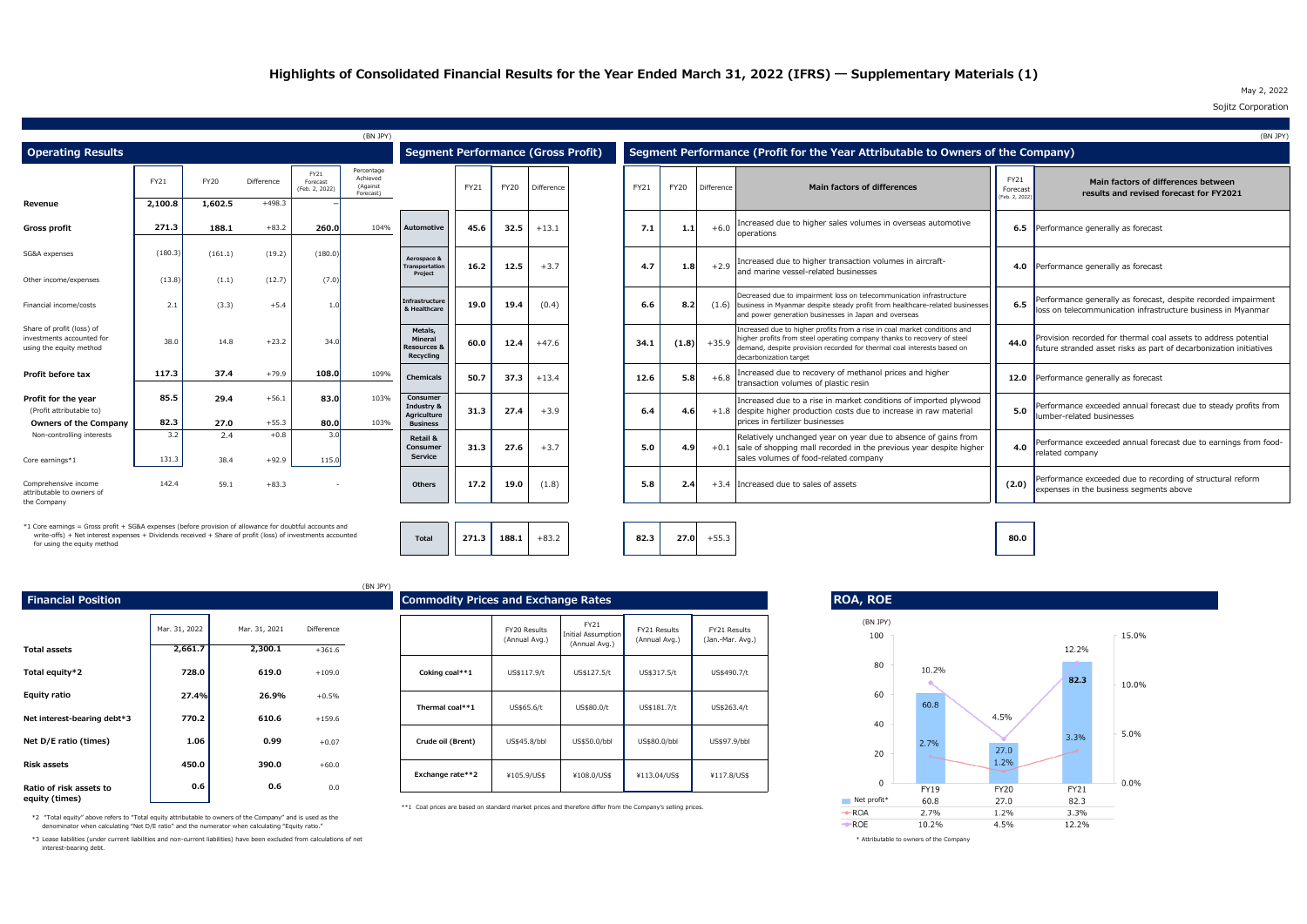\*\*1 Coal prices are based on standard market prices and therefore differ from the Company's selling prices.

\*3 Lease liabilities (under current liabilities and non-current liabilities) have been excluded from calculations of net  $*$  Attributable to owners of the Company interest-bearing debt.

\*2 "Total equity" above refers to "Total equity attributable to owners of the Company" and is used as the denominator when calculating "Net D/E ratio" and the numerator when calculating "Equity ratio."

\*1 Core earnings = Gross profit + SG&A expenses (before provision of allowance for doubtful accounts and write-offs) + Net interest expenses + Dividends received + Share of profit (loss) of investments accounted for using the equity method

| <b>Financial Position</b>   |               |               |                   | $1 - 1 - 1$ | <b>Commodity Prices and Exchange Rates</b>                                   |                               |                                                      |
|-----------------------------|---------------|---------------|-------------------|-------------|------------------------------------------------------------------------------|-------------------------------|------------------------------------------------------|
|                             | Mar. 31, 2022 | Mar. 31, 2021 | <b>Difference</b> |             |                                                                              | FY20 Results<br>(Annual Avg.) | <b>FY21</b><br><b>Initial Assumpt</b><br>(Annual Avg |
| <b>Total assets</b>         | 2,661.7       | 2,300.1       | $+361.6$          |             |                                                                              |                               |                                                      |
| Total equity*2              | 728.0         | 619.0         | $+109.0$          |             | Coking coal**1                                                               | US\$117.9/t                   | US\$127.5/t                                          |
| <b>Equity ratio</b>         | 27.4%         | 26.9%         | $+0.5%$           |             |                                                                              |                               |                                                      |
| Net interest-bearing debt*3 | 770.2         | 610.6         | $+159.6$          |             | Thermal coal**1                                                              | US\$65.6/t                    | US\$80.0/t                                           |
| Net D/E ratio (times)       | 1.06          | 0.99          | $+0.07$           |             | Crude oil (Brent)                                                            | US\$45.8/bbl                  | US\$50.0/bb                                          |
| <b>Risk assets</b>          | 450.0         | 390.0         | $+60.0$           |             |                                                                              |                               |                                                      |
| Ratio of risk assets to     | 0.6           | 0.6           | 0.0               |             | Exchange rate**2                                                             | ¥105.9/US\$                   | ¥108.0/US\$                                          |
| equity (times)              |               |               |                   |             | $***1$ Can prices are based on standard market prices and therefore differ f |                               |                                                      |

| sk assets to<br>າes)                                                                                                                                                                                                                                                                                                                                                                                                                                         | 0.6 | 0.6 | 0.0 |  |
|--------------------------------------------------------------------------------------------------------------------------------------------------------------------------------------------------------------------------------------------------------------------------------------------------------------------------------------------------------------------------------------------------------------------------------------------------------------|-----|-----|-----|--|
| $\mathcal{L} = \mathcal{L} = \mathcal{L} = \mathcal{L} = \mathcal{L} = \mathcal{L} = \mathcal{L} = \mathcal{L} = \mathcal{L} = \mathcal{L} = \mathcal{L} = \mathcal{L} = \mathcal{L} = \mathcal{L} = \mathcal{L} = \mathcal{L} = \mathcal{L} = \mathcal{L} = \mathcal{L} = \mathcal{L} = \mathcal{L} = \mathcal{L} = \mathcal{L} = \mathcal{L} = \mathcal{L} = \mathcal{L} = \mathcal{L} = \mathcal{L} = \mathcal{L} = \mathcal{L} = \mathcal{L} = \mathcal$ |     |     |     |  |

|                                                                                   |                   |                  |                   |                                    | (BN JPY)                                        |                                                           |             |             |            |      |             |            |                                                                                                                                                                                                                                                          |                                         | (BN JPY)                                                                                                                              |
|-----------------------------------------------------------------------------------|-------------------|------------------|-------------------|------------------------------------|-------------------------------------------------|-----------------------------------------------------------|-------------|-------------|------------|------|-------------|------------|----------------------------------------------------------------------------------------------------------------------------------------------------------------------------------------------------------------------------------------------------------|-----------------------------------------|---------------------------------------------------------------------------------------------------------------------------------------|
| <b>Operating Results</b>                                                          |                   |                  |                   |                                    |                                                 | <b>Segment Performance (Gross Profit)</b>                 |             |             |            |      |             |            | Segment Performance (Profit for the Year Attributable to Owners of the Company)                                                                                                                                                                          |                                         |                                                                                                                                       |
|                                                                                   | FY21              | <b>FY20</b>      | Difference        | FY21<br>Forecast<br>(Feb. 2, 2022) | Percentage<br>Achieved<br>(Against<br>Forecast) |                                                           | <b>FY21</b> | <b>FY20</b> | Difference | FY21 | <b>FY20</b> | Difference | <b>Main factors of differences</b>                                                                                                                                                                                                                       | <b>FY21</b><br>Forecast<br>Feb. 2, 2022 | Main factors of differences between<br>results and revised forecast for FY2021                                                        |
| Revenue                                                                           | 2,100.8           | 1,602.5          | $+498.3$          |                                    |                                                 |                                                           |             |             |            |      |             |            |                                                                                                                                                                                                                                                          |                                         |                                                                                                                                       |
| Gross profit                                                                      | 271.3             | 188.1            | $+83.2$           | 260.0                              | 104%                                            | Automotive                                                | 45.6        | 32.5        | $+13.1$    | 7.1  | 1.1         | $+6.0$     | Increased due to higher sales volumes in overseas automotive<br>operations                                                                                                                                                                               |                                         | <b>6.5</b> Performance generally as forecast                                                                                          |
| SG&A expenses<br>Other income/expenses                                            | (180.3)<br>(13.8) | (161.1)<br>(1.1) | (19.2)<br>(12.7)  | (180.0<br>(7.0                     |                                                 | Aerospace &<br>Transportation<br>Project                  | 16.2        | 12.5        | $+3.7$     | 4.7  | 1.8         | $+2.9$     | Increased due to higher transaction volumes in aircraft-<br>and marine vessel-related businesses                                                                                                                                                         |                                         | 4.0 Performance generally as forecast                                                                                                 |
| Financial income/costs                                                            | 2.1               | (3.3)            | $+5.4$            |                                    |                                                 | Infrastructure<br>& Healthcare                            | 19.0        | 19.4        | (0.4)      | 6.6  | 8.2         |            | Decreased due to impairment loss on telecommunication infrastructure<br>$(1.6)$ business in Myanmar despite steady profit from healthcare-related businesses<br>and power generation businesses in Japan and overseas                                    | 6.5                                     | Performance generally as forecast, despite recorded impairment<br>loss on telecommunication infrastructure business in Myanmar        |
| Share of profit (loss) of<br>investments accounted for<br>using the equity method | 38.0              | 14.8             | $+23.$            | 34.                                |                                                 | Metals,<br>Mineral<br><b>Resources &amp;</b><br>Recycling | 60.0        | 12.4        | $+47.6$    | 34.1 | (1.8)       | $+35.9$    | Increased due to higher profits from a rise in coal market conditions and<br>higher profits from steel operating company thanks to recovery of steel<br>demand, despite provision recorded for thermal coal interests based on<br>decarbonization target | 44.0                                    | Provision recorded for thermal coal assets to address potential<br>future stranded asset risks as part of decarbonization initiatives |
| Profit before tax                                                                 | 117.3             | 37.4             | $+79.9$           | 108.0                              | 109%                                            | <b>Chemicals</b>                                          | 50.7        | 37.3        | $+13.4$    | 12.6 | 5.8         | $+6.8$     | Increased due to recovery of methanol prices and higher<br>transaction volumes of plastic resin                                                                                                                                                          |                                         | 12.0 Performance generally as forecast                                                                                                |
| Profit for the year<br>(Profit attributable to)<br><b>Owners of the Company</b>   | 85.5<br>82.3      | 29.4<br>27.0     | $+56.$<br>$+55.3$ | 83.0<br>80.0                       | 103%<br>103%                                    | Consumer<br>Industry &<br>Agriculture<br><b>Business</b>  | 31.3        | 27.4        | $+3.9$     | 6.4  | 4.61        |            | Increased due to a rise in market conditions of imported plywood<br>$+1.8$ despite higher production costs due to increase in raw material<br>prices in fertilizer businesses                                                                            | 5.0                                     | Performance exceeded annual forecast due to steady profits from<br>lumber-related businesses                                          |
| Non-controlling interests<br>Core earnings*1                                      | 3.2<br>131.3      | 2.4<br>38.4      | $+0.8$<br>$+92.9$ | 3(<br>115.                         |                                                 | <b>Retail 8</b><br>Consumer<br><b>Service</b>             | 31.3        | 27.6        | $+3.7$     | 5.0  | 4.9         |            | Relatively unchanged year on year due to absence of gains from<br>$+0.1$ sale of shopping mall recorded in the previous year despite higher<br>sales volumes of food-related company                                                                     | 4.0                                     | Performance exceeded annual forecast due to earnings from food-<br>related company                                                    |
| Comprehensive income<br>attributable to owners of<br>the Company                  | 142.4             | 59.1             | $+83.3$           | $\sim$                             |                                                 | <b>Others</b>                                             | 17.2        | 19.0        | (1.8)      | 5.8  | 2.4         |            | +3.4 Increased due to sales of assets                                                                                                                                                                                                                    | (2.0)                                   | Performance exceeded due to recording of structural reform<br>expenses in the business segments above                                 |

|                          |                        | (BN JPY) |                                            |                                      |                                                    |                               |                                  |
|--------------------------|------------------------|----------|--------------------------------------------|--------------------------------------|----------------------------------------------------|-------------------------------|----------------------------------|
|                          |                        |          | <b>Commodity Prices and Exchange Rates</b> |                                      |                                                    |                               |                                  |
| Mar. 31, 2021<br>2,300.1 | Difference<br>$+361.6$ |          |                                            | <b>FY20 Results</b><br>(Annual Avg.) | <b>FY21</b><br>Initial Assumption<br>(Annual Avg.) | FY21 Results<br>(Annual Avg.) | FY21 Results<br>(Jan.-Mar. Avg.) |
| 619.0                    | $+109.0$               |          | Coking coal**1                             | US\$117.9/t                          | US\$127.5/t                                        | US\$317.5/t                   | US\$490.7/t                      |
| 26.9%<br>610.6           | $+0.5%$<br>$+159.6$    |          | Thermal coal**1                            | US\$65.6/t                           | US\$80.0/t                                         | US\$181.7/t                   | US\$263.4/t                      |
| 0.99                     | $+0.07$                |          | Crude oil (Brent)                          | US\$45.8/bbl                         | US\$50.0/bbl                                       | US\$80.0/bbl                  | US\$97.9/bbl                     |
| 390.0<br>0.6             | $+60.0$<br>n n         |          | Exchange rate**2                           | ¥105.9/US\$                          | ¥108.0/US\$                                        | ¥113.04/US\$                  | ¥117.8/US\$                      |

**188.1**  $+83.2$  **82.3** 

Total 271.3

**27.0** +55.3



### May 2, 2022 Sojitz Corporation

**80.0**